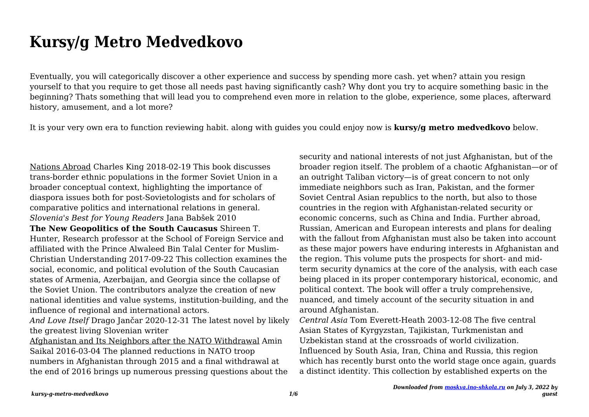## **Kursy/g Metro Medvedkovo**

Eventually, you will categorically discover a other experience and success by spending more cash. yet when? attain you resign yourself to that you require to get those all needs past having significantly cash? Why dont you try to acquire something basic in the beginning? Thats something that will lead you to comprehend even more in relation to the globe, experience, some places, afterward history, amusement, and a lot more?

It is your very own era to function reviewing habit. along with guides you could enjoy now is **kursy/g metro medvedkovo** below.

Nations Abroad Charles King 2018-02-19 This book discusses trans-border ethnic populations in the former Soviet Union in a broader conceptual context, highlighting the importance of diaspora issues both for post-Sovietologists and for scholars of comparative politics and international relations in general. *Slovenia's Best for Young Readers* Jana Babšek 2010 **The New Geopolitics of the South Caucasus** Shireen T. Hunter, Research professor at the School of Foreign Service and affiliated with the Prince Alwaleed Bin Talal Center for Muslim-Christian Understanding 2017-09-22 This collection examines the social, economic, and political evolution of the South Caucasian states of Armenia, Azerbaijan, and Georgia since the collapse of the Soviet Union. The contributors analyze the creation of new national identities and value systems, institution-building, and the influence of regional and international actors.

*And Love Itself* Drago Jančar 2020-12-31 The latest novel by likely the greatest living Slovenian writer

Afghanistan and Its Neighbors after the NATO Withdrawal Amin Saikal 2016-03-04 The planned reductions in NATO troop numbers in Afghanistan through 2015 and a final withdrawal at the end of 2016 brings up numerous pressing questions about the security and national interests of not just Afghanistan, but of the broader region itself. The problem of a chaotic Afghanistan—or of an outright Taliban victory—is of great concern to not only immediate neighbors such as Iran, Pakistan, and the former Soviet Central Asian republics to the north, but also to those countries in the region with Afghanistan-related security or economic concerns, such as China and India. Further abroad, Russian, American and European interests and plans for dealing with the fallout from Afghanistan must also be taken into account as these major powers have enduring interests in Afghanistan and the region. This volume puts the prospects for short- and midterm security dynamics at the core of the analysis, with each case being placed in its proper contemporary historical, economic, and political context. The book will offer a truly comprehensive, nuanced, and timely account of the security situation in and around Afghanistan.

*Central Asia* Tom Everett-Heath 2003-12-08 The five central Asian States of Kyrgyzstan, Tajikistan, Turkmenistan and Uzbekistan stand at the crossroads of world civilization. Influenced by South Asia, Iran, China and Russia, this region which has recently burst onto the world stage once again, guards a distinct identity. This collection by established experts on the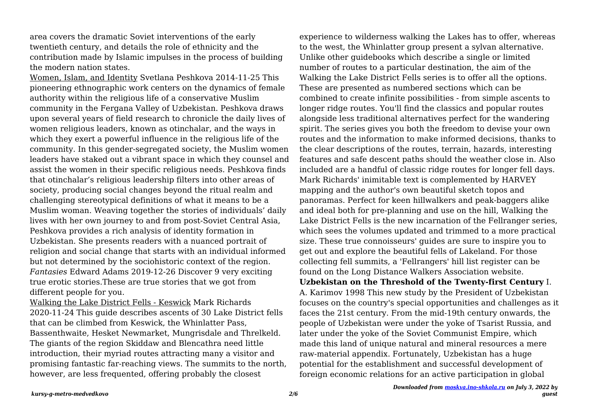area covers the dramatic Soviet interventions of the early twentieth century, and details the role of ethnicity and the contribution made by Islamic impulses in the process of building the modern nation states.

Women, Islam, and Identity Svetlana Peshkova 2014-11-25 This pioneering ethnographic work centers on the dynamics of female authority within the religious life of a conservative Muslim community in the Fergana Valley of Uzbekistan. Peshkova draws upon several years of field research to chronicle the daily lives of women religious leaders, known as otinchalar, and the ways in which they exert a powerful influence in the religious life of the community. In this gender-segregated society, the Muslim women leaders have staked out a vibrant space in which they counsel and assist the women in their specific religious needs. Peshkova finds that otinchalar's religious leadership filters into other areas of society, producing social changes beyond the ritual realm and challenging stereotypical definitions of what it means to be a Muslim woman. Weaving together the stories of individuals' daily lives with her own journey to and from post-Soviet Central Asia, Peshkova provides a rich analysis of identity formation in Uzbekistan. She presents readers with a nuanced portrait of religion and social change that starts with an individual informed but not determined by the sociohistoric context of the region. *Fantasies* Edward Adams 2019-12-26 Discover 9 very exciting true erotic stories.These are true stories that we got from different people for you.

Walking the Lake District Fells - Keswick Mark Richards 2020-11-24 This guide describes ascents of 30 Lake District fells that can be climbed from Keswick, the Whinlatter Pass, Bassenthwaite, Hesket Newmarket, Mungrisdale and Threlkeld. The giants of the region Skiddaw and Blencathra need little introduction, their myriad routes attracting many a visitor and promising fantastic far-reaching views. The summits to the north, however, are less frequented, offering probably the closest

experience to wilderness walking the Lakes has to offer, whereas to the west, the Whinlatter group present a sylvan alternative. Unlike other guidebooks which describe a single or limited number of routes to a particular destination, the aim of the Walking the Lake District Fells series is to offer all the options. These are presented as numbered sections which can be combined to create infinite possibilities - from simple ascents to longer ridge routes. You'll find the classics and popular routes alongside less traditional alternatives perfect for the wandering spirit. The series gives you both the freedom to devise your own routes and the information to make informed decisions, thanks to the clear descriptions of the routes, terrain, hazards, interesting features and safe descent paths should the weather close in. Also included are a handful of classic ridge routes for longer fell days. Mark Richards' inimitable text is complemented by HARVEY mapping and the author's own beautiful sketch topos and panoramas. Perfect for keen hillwalkers and peak-baggers alike and ideal both for pre-planning and use on the hill, Walking the Lake District Fells is the new incarnation of the Fellranger series, which sees the volumes updated and trimmed to a more practical size. These true connoisseurs' guides are sure to inspire you to get out and explore the beautiful fells of Lakeland. For those collecting fell summits, a 'Fellrangers' hill list register can be found on the Long Distance Walkers Association website. **Uzbekistan on the Threshold of the Twenty-first Century** I. A. Karimov 1998 This new study by the President of Uzbekistan focuses on the country's special opportunities and challenges as it faces the 21st century. From the mid-19th century onwards, the people of Uzbekistan were under the yoke of Tsarist Russia, and later under the yoke of the Soviet Communist Empire, which made this land of unique natural and mineral resources a mere raw-material appendix. Fortunately, Uzbekistan has a huge potential for the establishment and successful development of foreign economic relations for an active participation in global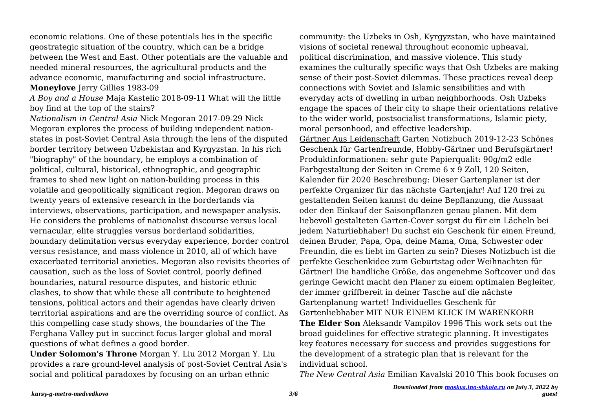economic relations. One of these potentials lies in the specific geostrategic situation of the country, which can be a bridge between the West and East. Other potentials are the valuable and needed mineral resources, the agricultural products and the advance economic, manufacturing and social infrastructure.

## **Moneylove** Jerry Gillies 1983-09

*A Boy and a House* Maja Kastelic 2018-09-11 What will the little boy find at the top of the stairs?

*Nationalism in Central Asia* Nick Megoran 2017-09-29 Nick Megoran explores the process of building independent nationstates in post-Soviet Central Asia through the lens of the disputed border territory between Uzbekistan and Kyrgyzstan. In his rich "biography" of the boundary, he employs a combination of political, cultural, historical, ethnographic, and geographic frames to shed new light on nation-building process in this volatile and geopolitically significant region. Megoran draws on twenty years of extensive research in the borderlands via interviews, observations, participation, and newspaper analysis. He considers the problems of nationalist discourse versus local vernacular, elite struggles versus borderland solidarities, boundary delimitation versus everyday experience, border control versus resistance, and mass violence in 2010, all of which have exacerbated territorial anxieties. Megoran also revisits theories of causation, such as the loss of Soviet control, poorly defined boundaries, natural resource disputes, and historic ethnic clashes, to show that while these all contribute to heightened tensions, political actors and their agendas have clearly driven territorial aspirations and are the overriding source of conflict. As this compelling case study shows, the boundaries of the The Ferghana Valley put in succinct focus larger global and moral questions of what defines a good border.

**Under Solomon's Throne** Morgan Y. Liu 2012 Morgan Y. Liu provides a rare ground-level analysis of post-Soviet Central Asia's social and political paradoxes by focusing on an urban ethnic

community: the Uzbeks in Osh, Kyrgyzstan, who have maintained visions of societal renewal throughout economic upheaval, political discrimination, and massive violence. This study examines the culturally specific ways that Osh Uzbeks are making sense of their post-Soviet dilemmas. These practices reveal deep connections with Soviet and Islamic sensibilities and with everyday acts of dwelling in urban neighborhoods. Osh Uzbeks engage the spaces of their city to shape their orientations relative to the wider world, postsocialist transformations, Islamic piety, moral personhood, and effective leadership. Gärtner Aus Leidenschaft Garten Notizbuch 2019-12-23 Schönes Geschenk für Gartenfreunde, Hobby-Gärtner und Berufsgärtner! Produktinformationen: sehr gute Papierqualit: 90g/m2 edle Farbgestaltung der Seiten in Creme 6 x 9 Zoll, 120 Seiten, Kalender für 2020 Beschreibung: Dieser Gartenplaner ist der perfekte Organizer für das nächste Gartenjahr! Auf 120 frei zu gestaltenden Seiten kannst du deine Bepflanzung, die Aussaat oder den Einkauf der Saisonpflanzen genau planen. Mit dem liebevoll gestalteten Garten-Cover sorgst du für ein Lächeln bei jedem Naturliebhaber! Du suchst ein Geschenk für einen Freund, deinen Bruder, Papa, Opa, deine Mama, Oma, Schwester oder Freundin, die es liebt im Garten zu sein? Dieses Notizbuch ist die perfekte Geschenkidee zum Geburtstag oder Weihnachten für Gärtner! Die handliche Größe, das angenehme Softcover und das geringe Gewicht macht den Planer zu einem optimalen Begleiter, der immer griffbereit in deiner Tasche auf die nächste Gartenplanung wartet! Individuelles Geschenk für Gartenliebhaber MIT NUR EINEM KLICK IM WARENKORB **The Elder Son** Aleksandr Vampilov 1996 This work sets out the broad guidelines for effective strategic planning. It investigates key features necessary for success and provides suggestions for the development of a strategic plan that is relevant for the individual school.

*The New Central Asia* Emilian Kavalski 2010 This book focuses on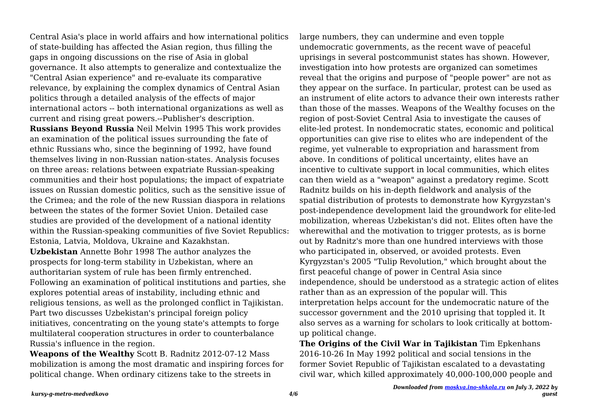Central Asia's place in world affairs and how international politics of state-building has affected the Asian region, thus filling the gaps in ongoing discussions on the rise of Asia in global governance. It also attempts to generalize and contextualize the "Central Asian experience" and re-evaluate its comparative relevance, by explaining the complex dynamics of Central Asian politics through a detailed analysis of the effects of major international actors -- both international organizations as well as current and rising great powers.--Publisher's description.

**Russians Beyond Russia** Neil Melvin 1995 This work provides an examination of the political issues surrounding the fate of ethnic Russians who, since the beginning of 1992, have found themselves living in non-Russian nation-states. Analysis focuses on three areas: relations between expatriate Russian-speaking communities and their host populations; the impact of expatriate issues on Russian domestic politics, such as the sensitive issue of the Crimea; and the role of the new Russian diaspora in relations between the states of the former Soviet Union. Detailed case studies are provided of the development of a national identity within the Russian-speaking communities of five Soviet Republics: Estonia, Latvia, Moldova, Ukraine and Kazakhstan. **Uzbekistan** Annette Bohr 1998 The author analyzes the prospects for long-term stability in Uzbekistan, where an authoritarian system of rule has been firmly entrenched. Following an examination of political institutions and parties, she explores potential areas of instability, including ethnic and religious tensions, as well as the prolonged conflict in Tajikistan. Part two discusses Uzbekistan's principal foreign policy initiatives, concentrating on the young state's attempts to forge multilateral cooperation structures in order to counterbalance Russia's influence in the region.

**Weapons of the Wealthy** Scott B. Radnitz 2012-07-12 Mass mobilization is among the most dramatic and inspiring forces for political change. When ordinary citizens take to the streets in

large numbers, they can undermine and even topple undemocratic governments, as the recent wave of peaceful uprisings in several postcommunist states has shown. However, investigation into how protests are organized can sometimes reveal that the origins and purpose of "people power" are not as they appear on the surface. In particular, protest can be used as an instrument of elite actors to advance their own interests rather than those of the masses. Weapons of the Wealthy focuses on the region of post-Soviet Central Asia to investigate the causes of elite-led protest. In nondemocratic states, economic and political opportunities can give rise to elites who are independent of the regime, yet vulnerable to expropriation and harassment from above. In conditions of political uncertainty, elites have an incentive to cultivate support in local communities, which elites can then wield as a "weapon" against a predatory regime. Scott Radnitz builds on his in-depth fieldwork and analysis of the spatial distribution of protests to demonstrate how Kyrgyzstan's post-independence development laid the groundwork for elite-led mobilization, whereas Uzbekistan's did not. Elites often have the wherewithal and the motivation to trigger protests, as is borne out by Radnitz's more than one hundred interviews with those who participated in, observed, or avoided protests. Even Kyrgyzstan's 2005 "Tulip Revolution," which brought about the first peaceful change of power in Central Asia since independence, should be understood as a strategic action of elites rather than as an expression of the popular will. This interpretation helps account for the undemocratic nature of the successor government and the 2010 uprising that toppled it. It also serves as a warning for scholars to look critically at bottomup political change.

**The Origins of the Civil War in Tajikistan** Tim Epkenhans 2016-10-26 In May 1992 political and social tensions in the former Soviet Republic of Tajikistan escalated to a devastating civil war, which killed approximately 40,000-100,000 people and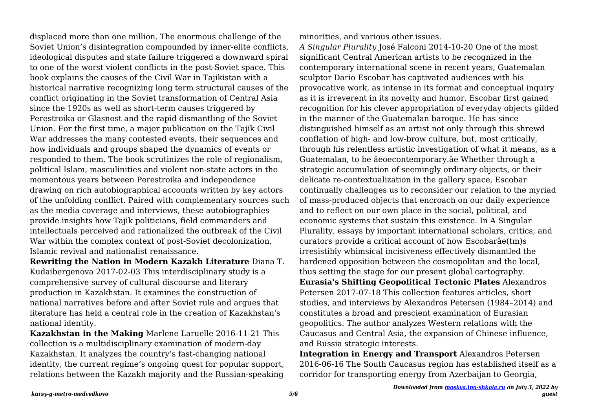displaced more than one million. The enormous challenge of the Soviet Union's disintegration compounded by inner-elite conflicts, ideological disputes and state failure triggered a downward spiral to one of the worst violent conflicts in the post-Soviet space. This book explains the causes of the Civil War in Tajikistan with a historical narrative recognizing long term structural causes of the conflict originating in the Soviet transformation of Central Asia since the 1920s as well as short-term causes triggered by Perestroika or Glasnost and the rapid dismantling of the Soviet Union. For the first time, a major publication on the Tajik Civil War addresses the many contested events, their sequences and how individuals and groups shaped the dynamics of events or responded to them. The book scrutinizes the role of regionalism, political Islam, masculinities and violent non-state actors in the momentous years between Perestroika and independence drawing on rich autobiographical accounts written by key actors of the unfolding conflict. Paired with complementary sources such as the media coverage and interviews, these autobiographies provide insights how Tajik politicians, field commanders and intellectuals perceived and rationalized the outbreak of the Civil War within the complex context of post-Soviet decolonization, Islamic revival and nationalist renaissance.

**Rewriting the Nation in Modern Kazakh Literature** Diana T. Kudaibergenova 2017-02-03 This interdisciplinary study is a comprehensive survey of cultural discourse and literary production in Kazakhstan. It examines the construction of national narratives before and after Soviet rule and argues that literature has held a central role in the creation of Kazakhstan's national identity.

**Kazakhstan in the Making** Marlene Laruelle 2016-11-21 This collection is a multidisciplinary examination of modern-day Kazakhstan. It analyzes the country's fast-changing national identity, the current regime's ongoing quest for popular support, relations between the Kazakh majority and the Russian-speaking

minorities, and various other issues.

*A Singular Plurality* José Falconi 2014-10-20 One of the most significant Central American artists to be recognized in the contemporary international scene in recent years, Guatemalan sculptor Dario Escobar has captivated audiences with his provocative work, as intense in its format and conceptual inquiry as it is irreverent in its novelty and humor. Escobar first gained recognition for his clever appropriation of everyday objects gilded in the manner of the Guatemalan baroque. He has since distinguished himself as an artist not only through this shrewd conflation of high- and low-brow culture, but, most critically, through his relentless artistic investigation of what it means, as a Guatemalan, to be âeoecontemporary.âe Whether through a strategic accumulation of seemingly ordinary objects, or their delicate re-contextualization in the gallery space, Escobar continually challenges us to reconsider our relation to the myriad of mass-produced objects that encroach on our daily experience and to reflect on our own place in the social, political, and economic systems that sustain this existence. In A Singular Plurality, essays by important international scholars, critics, and curators provide a critical account of how Escobarâe(tm)s irresistibly whimsical incisiveness effectively dismantled the hardened opposition between the cosmopolitan and the local, thus setting the stage for our present global cartography. **Eurasia's Shifting Geopolitical Tectonic Plates** Alexandros Petersen 2017-07-18 This collection features articles, short studies, and interviews by Alexandros Petersen (1984–2014) and constitutes a broad and prescient examination of Eurasian geopolitics. The author analyzes Western relations with the Caucasus and Central Asia, the expansion of Chinese influence, and Russia strategic interests.

**Integration in Energy and Transport** Alexandros Petersen 2016-06-16 The South Caucasus region has established itself as a corridor for transporting energy from Azerbaijan to Georgia,